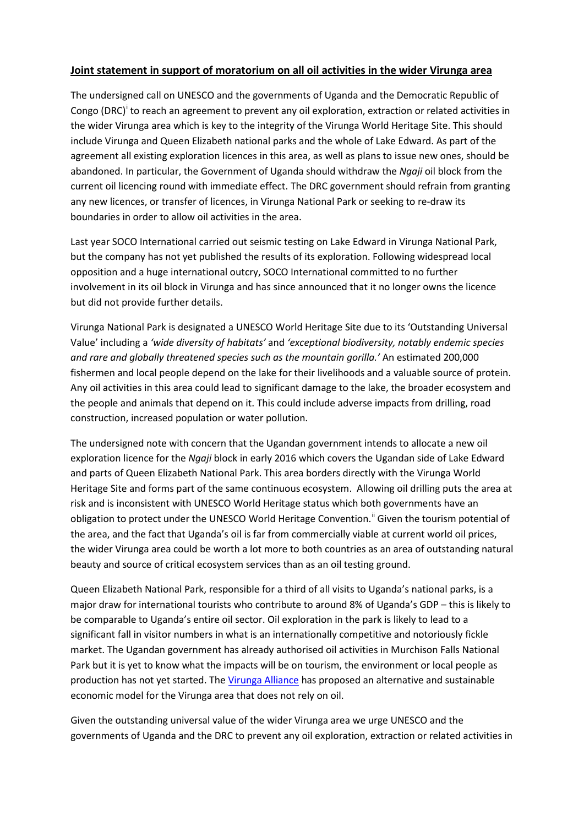## **Joint statement in support of moratorium on all oil activities in the wider Virunga area**

The undersigned call on UNESCO and the governments of Uganda and the Democratic Republic of Congo (DRC)<sup>[i](#page-1-0)</sup> to reach an agreement to prevent any oil exploration, extraction or related activities in the wider Virunga area which is key to the integrity of the Virunga World Heritage Site. This should include Virunga and Queen Elizabeth national parks and the whole of Lake Edward. As part of the agreement all existing exploration licences in this area, as well as plans to issue new ones, should be abandoned. In particular, the Government of Uganda should withdraw the *Ngaji* oil block from the current oil licencing round with immediate effect. The DRC government should refrain from granting any new licences, or transfer of licences, in Virunga National Park or seeking to re-draw its boundaries in order to allow oil activities in the area.

Last year SOCO International carried out seismic testing on Lake Edward in Virunga National Park, but the company has not yet published the results of its exploration. Following widespread local opposition and a huge international outcry, SOCO International committed to no further involvement in its oil block in Virunga and has since announced that it no longer owns the licence but did not provide further details.

Virunga National Park is designated a UNESCO World Heritage Site due to its 'Outstanding Universal Value' including a *'wide diversity of habitats'* and *'exceptional biodiversity, notably endemic species and rare and globally threatened species such as the mountain gorilla.'* An estimated 200,000 fishermen and local people depend on the lake for their livelihoods and a valuable source of protein. Any oil activities in this area could lead to significant damage to the lake, the broader ecosystem and the people and animals that depend on it. This could include adverse impacts from drilling, road construction, increased population or water pollution.

The undersigned note with concern that the Ugandan government intends to allocate a new oil exploration licence for the *Ngaji* block in early 2016 which covers the Ugandan side of Lake Edward and parts of Queen Elizabeth National Park. This area borders directly with the Virunga World Heritage Site and forms part of the same continuous ecosystem. Allowing oil drilling puts the area at risk and is inconsistent with UNESCO World Heritage status which both governments have an obligation to protect under the UNESCO World Heritage Convention.<sup>"</sup> Given the tourism potential of the area, and the fact that Uganda's oil is far from commercially viable at current world oil prices, the wider Virunga area could be worth a lot more to both countries as an area of outstanding natural beauty and source of critical ecosystem services than as an oil testing ground.

Queen Elizabeth National Park, responsible for a third of all visits to Uganda's national parks, is a major draw for international tourists who contribute to around 8% of Uganda's GDP – this is likely to be comparable to Uganda's entire oil sector. Oil exploration in the park is likely to lead to a significant fall in visitor numbers in what is an internationally competitive and notoriously fickle market. The Ugandan government has already authorised oil activities in Murchison Falls National Park but it is yet to know what the impacts will be on tourism, the environment or local people as production has not yet started. Th[e Virunga Alliance](https://virunga.org/virunga-alliance/) has proposed an alternative and sustainable economic model for the Virunga area that does not rely on oil.

Given the outstanding universal value of the wider Virunga area we urge UNESCO and the governments of Uganda and the DRC to prevent any oil exploration, extraction or related activities in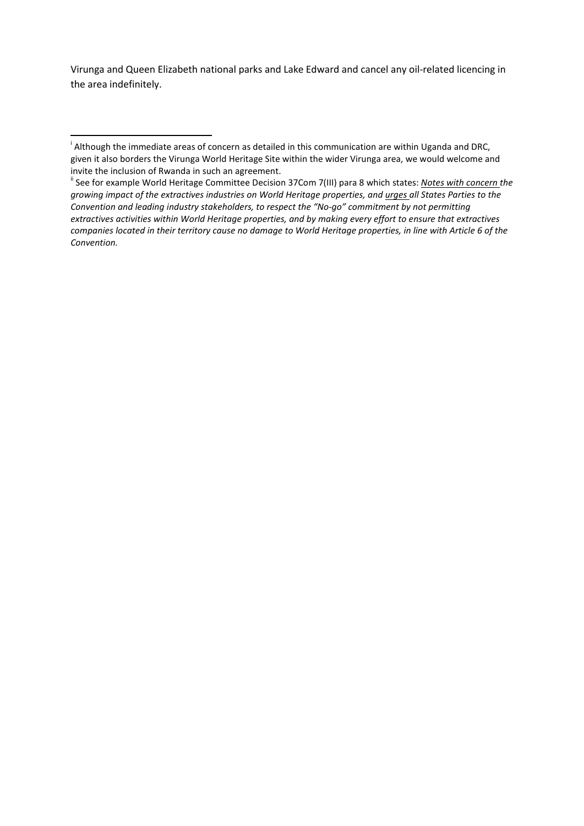Virunga and Queen Elizabeth national parks and Lake Edward and cancel any oil-related licencing in the area indefinitely.

<span id="page-1-0"></span>i <sup>i</sup> Although the immediate areas of concern as detailed in this communication are within Uganda and DRC, given it also borders the Virunga World Heritage Site within the wider Virunga area, we would welcome and invite the inclusion of Rwanda in such an agreement.<br><sup>ii</sup> See for example World Heritage Committee Decision 37Com 7(III) para 8 which states: *Notes with concern the* 

<span id="page-1-1"></span>*growing impact of the extractives industries on World Heritage properties, and urges all States Parties to the Convention and leading industry stakeholders, to respect the "No-go" commitment by not permitting extractives activities within World Heritage properties, and by making every effort to ensure that extractives companies located in their territory cause no damage to World Heritage properties, in line with Article 6 of the Convention.*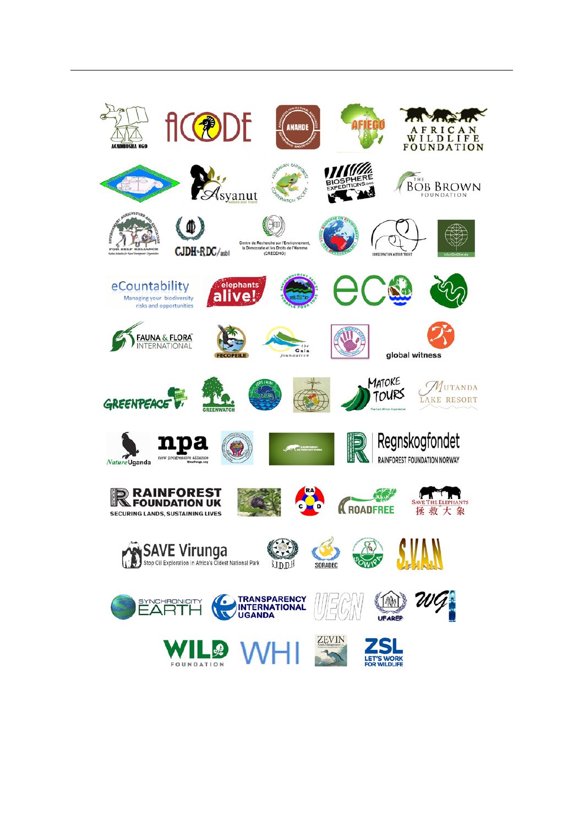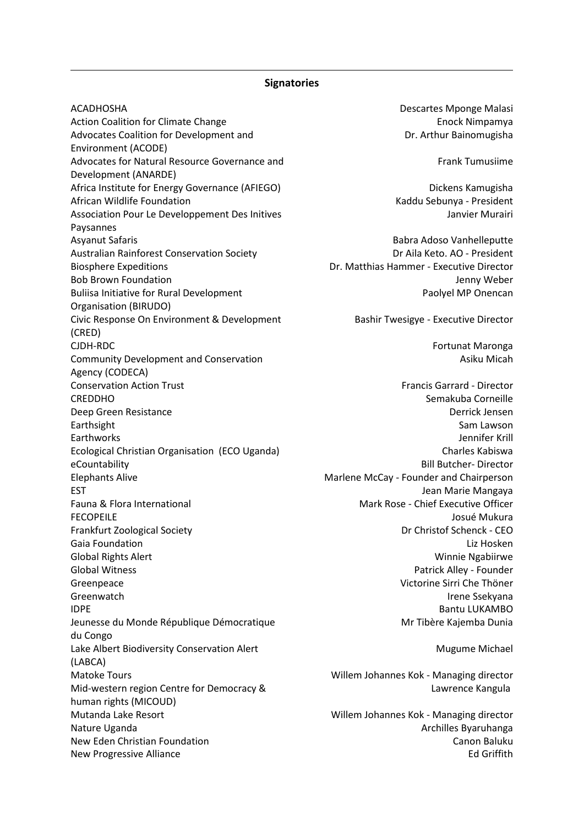## **Signatories**

ACADHOSHA DESCARTES MONTHLINE AND ACADHOSHA Action Coalition for Climate Change **Enock Nimpamya** Enock Nimpamya Advocates Coalition for Development and Environment (ACODE) Advocates for Natural Resource Governance and Development (ANARDE) Africa Institute for Energy Governance (AFIEGO) Dickens Kamugisha African Wildlife Foundation **Kaddu Sebunya - President** Kaddu Sebunya - President Association Pour Le Developpement Des Initives Paysannes Asyanut Safaris **Babra Adoso Vanhelleputte** Babra Adoso Vanhelleputte Australian Rainforest Conservation Society **Dramage Conservation Society** Dr Aila Keto. AO - President Biosphere Expeditions Dr. Matthias Hammer - Executive Director Bob Brown Foundation and the state of the state of the state of the state of the state of the state of the state of the state of the state of the state of the state of the state of the state of the state of the state of th Buliisa Initiative for Rural Development Organisation (BIRUDO) Civic Response On Environment & Development (CRED) CJDH-RDC Fortunat Maronga Community Development and Conservation Agency (CODECA) Conservation Action Trust Francis Garrard - Director CREDDHO Semakuba Corneille Deep Green Resistance Derrick Jensen Earthsight **Sam Lawson** Earthworks Jennifer Krill Ecological Christian Organisation (ECO Uganda) Charles Kabiswa eCountability **Bill Butcher- Director** Elephants Alive **Marlene McCay - Founder and Chairperson** EST **EST** STEPHEN ASSESSMENT ASSESSMENT AND THE MANUSCRIPTION OF THE MANUSCRIPTION OF THE MANUSCRIPTION OF THE MANUSCRIPTION OF THE MANUSCRIPTION OF THE MANUSCRIPTION OF THE MANUSCRIPTION OF THE MANUSCRIPTION OF THE MANUSC Fauna & Flora International Mark Rose - Chief Executive Officer FECOPEILE Josué Mukura Frankfurt Zoological Society **Dr Christof Schenck - CEO** Gaia Foundation **Lizability** Controller Controller Controller Controller Controller Controller Controller Controller Controller Controller Controller Controller Controller Controller Controller Controller Controller Contro Global Rights Alert Winnie Ngabiirwe Global Witness **Patrick Alley - Founder Patrick Alley - Founder** Greenpeace Victorine Sirri Che Thöner Greenwatch **Irene Ssekyana IDPE** Bantu LUKAMBO Jeunesse du Monde République Démocratique du Congo Lake Albert Biodiversity Conservation Alert (LABCA) Matoke Tours Willem Johannes Kok - Managing director Mid-western region Centre for Democracy & human rights (MICOUD) Mutanda Lake Resort Willem Johannes Kok - Managing director Nature Uganda Architecture Uganda Architecture International Architecture Architecture Byaruhanga New Eden Christian Foundation Canon Baluku New Eden Canon Baluku New Progressive Alliance **Edge and Struck and Struck and Struck** Edge and Struck and Struck and Struck and Struck and Struck and Struck and Struck and Struck and Struck and Struck and Struck and Struck and Struck and Struc

1

Dr. Arthur Bainomugisha

Frank Tumusiime

Janvier Murairi

Paolyel MP Onencan

Bashir Twesigye - Executive Director

Asiku Micah

Mr Tibère Kajemba Dunia

Mugume Michael

Lawrence Kangula